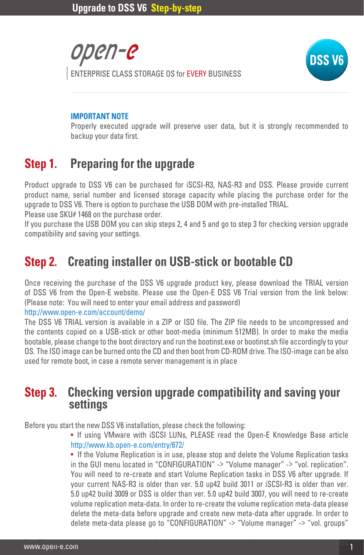



#### **IMPORTANT NOTE**

Properly executed upgrade will preserve user data, but it is strongly recommended to backup your data first.

# **Step 1. Preparing for the upgrade**

Product upgrade to DSS V6 can be purchased for iSCSI-R3, NAS-R3 and DSS. Please provide current product name, serial number and licensed storage capacity while placing the purchase order for the upgrade to DSS V6. There is option to purchase the USB DOM with pre-installed TRIAL.

Please use SKU# 1468 on the purchase order.

If you purchase the USB DOM you can skip steps 2, 4 and 5 and go to step 3 for checking version upgrade compatibility and saving your settings.

# **Step 2. Creating installer on USB-stick or bootable CD**

Once receiving the purchase of the DSS V6 upgrade product key, please download the TRIAL version of DSS V6 from the Open-E website. Please use the Open-E DSS V6 Trial version from the link below: (Please note: You will need to enter your email address and password)

#### http://www.open-e.com/account/demo/

The DSS V6 TRIAL version is available in a ZIP or ISO file. The ZIP file needs to be uncompressed and the contents copied on a USB-stick or other boot-media (minimum 512MB). In order to make the media bootable, please change to the boot directory and run the bootinst.exe or bootinst.sh file accordingly to your OS. The ISO image can be burned onto the CD and then boot from CD-ROM drive. The ISO-image can be also used for remote boot, in case a remote server management is in place

# **Step 3.** Checking version upgrade compatibility and saving your settings

Before you start the new DSS V6 installation, please check the following:

• If using VMware with iSCSI LUNs, PLEASE read the Open-E Knowledge Base article http://www.kb.open-e.com/entry/672/

• If the Volume Replication is in use, please stop and delete the Volume Replication tasks in the GUI menu located in "CONFIGURATION" -> "Volume manager" -> "vol. replication". You will need to re-create and start Volume Replication tasks in DSS V6 after upgrade. If your current NAS-R3 is older than ver. 5.0 up42 build 3011 or iSCSI-R3 is older than ver. 5.0 up42 build 3009 or DSS is older than ver. 5.0 up42 build 3007, you will need to re-create volume replication meta-data. In order to re-create the volume replication meta-data please delete the meta-data before upgrade and create new meta-data after upgrade. In order to delete meta-data please go to "CONFIGURATION" -> "Volume manager" -> "vol. groups"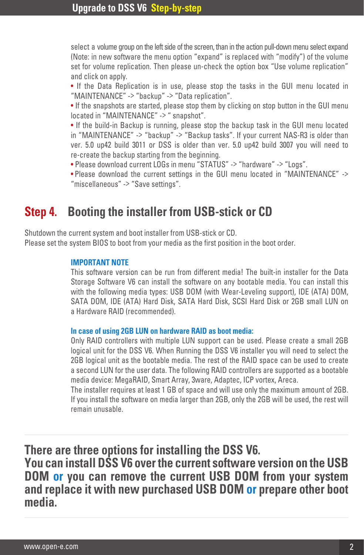select a volume group on the left side of the screen, than in the action pull-down menu select expand (Note: in new software the menu option "expand" is replaced with "modify") of the volume set for volume replication. Then please un-check the option box "Use volume replication" and click on apply.

• If the Data Replication is in use, please stop the tasks in the GUI menu located in "MAINTENANCE" -> "backup" -> "Data replication".

• If the snapshots are started, please stop them by clicking on stop button in the GUI menu located in "MAINTENANCE" -> " snapshot".

• If the build-in Backup is running, please stop the backup task in the GUI menu located in "MAINTENANCE" -> "backup" -> "Backup tasks". If your current NAS-R3 is older than ver. 5.0 up42 build 3011 or DSS is older than ver. 5.0 up42 build 3007 you will need to re-create the backup starting from the beginning.

• Please download current LOGs in menu "STATUS" -> "hardware" -> "Logs".

• Please download the current settings in the GUI menu located in "MAINTENANCE" -> "miscellaneous" -> "Save settings".

### **Step 4. Booting the installer from USB-stick or CD**

Shutdown the current system and boot installer from USB-stick or CD. Please set the system BIOS to boot from your media as the first position in the boot order.

### **IMPORTANT NOTE**

This software version can be run from different media! The built-in installer for the Data Storage Software V6 can install the software on any bootable media. You can install this with the following media types: USB DOM (with Wear-Leveling support), IDE (ATA) DOM, SATA DOM, IDE (ATA) Hard Disk, SATA Hard Disk, SCSI Hard Disk or 2GB small LUN on a Hardware RAID (recommended).

#### **In case of using 2GB LUN on hardware RAID as boot media:**

Only RAID controllers with multiple LUN support can be used. Please create a small 2GB logical unit for the DSS V6. When Running the DSS V6 installer you will need to select the 2GB logical unit as the bootable media. The rest of the RAID space can be used to create a second LUN for the user data. The following RAID controllers are supported as a bootable media device: MegaRAID, Smart Array, 3ware, Adaptec, ICP vortex, Areca.

The installer requires at least 1 GB of space and will use only the maximum amount of 2GB. If you install the software on media larger than 2GB, only the 2GB will be used, the rest will remain unusable.

**There are three options for installing the DSS V6. You can install DSS V6 over the current software version on the USB DOM or you can remove the current USB DOM from your system and replace it with new purchased USB DOM or prepare other boot media.**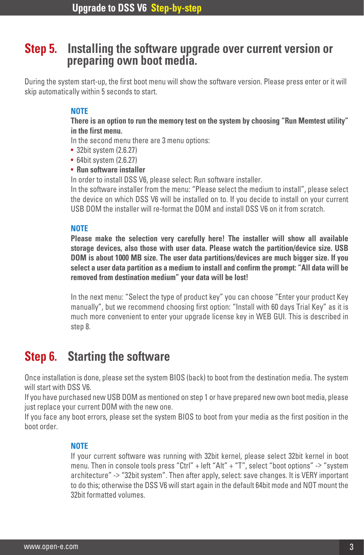# **Step 5. Installing the software upgrade over current version or preparing own boot media.**

During the system start-up, the first boot menu will show the software version. Please press enter or it will skip automatically within 5 seconds to start.

### **NOTE**

**There is an option to run the memory test on the system by choosing "Run Memtest utility" in the first menu.**

In the second menu there are 3 menu options:

- 32bit system (2.6.27)
- 64bit system (2.6.27)
- **Run software installer**

In order to install DSS V6, please select: Run software installer.

In the software installer from the menu: "Please select the medium to install", please select the device on which DSS V6 will be installed on to. If you decide to install on your current USB DOM the installer will re-format the DOM and install DSS V6 on it from scratch.

### **NOTE**

**Please make the selection very carefully here! The installer will show all available storage devices, also those with user data. Please watch the partition/device size. USB DOM is about 1000 MB size. The user data partitions/devices are much bigger size. If you select a user data partition as a medium to install and confirm the prompt: "All data will be removed from destination medium" your data will be lost!**

In the next menu: "Select the type of product key" you can choose "Enter your product Key manually", but we recommend choosing first option: "Install with 60 days Trial Key" as it is much more convenient to enter your upgrade license key in WEB GUI. This is described in step 8.

### **Step 6. Starting the software**

Once installation is done, please set the system BIOS (back) to boot from the destination media. The system will start with DSS V6.

If you have purchased new USB DOM as mentioned on step 1 or have prepared new own boot media, please just replace your current DOM with the new one.

If you face any boot errors, please set the system BIOS to boot from your media as the first position in the boot order.

### **NOTE**

If your current software was running with 32bit kernel, please select 32bit kernel in boot menu. Then in console tools press "Ctrl" + left "Alt" + "T", select "boot options" -> "system architecture" -> "32bit system". Then after apply, select: save changes. It is VERY important to do this; otherwise the DSS V6 will start again in the default 64bit mode and NOT mount the 32bit formatted volumes.